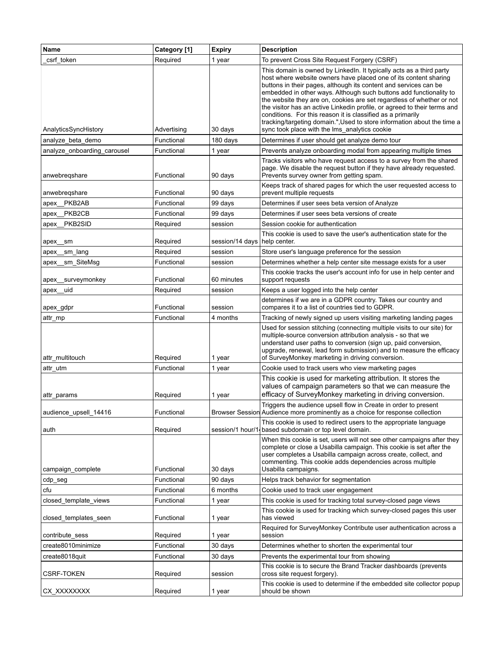| Name                        | Category [1] | <b>Expiry</b>                  | <b>Description</b>                                                                                                                                                                                                                                                                                                                                                                                                                                                                                                                                                                |
|-----------------------------|--------------|--------------------------------|-----------------------------------------------------------------------------------------------------------------------------------------------------------------------------------------------------------------------------------------------------------------------------------------------------------------------------------------------------------------------------------------------------------------------------------------------------------------------------------------------------------------------------------------------------------------------------------|
| csrf token                  | Required     | 1 year                         | To prevent Cross Site Request Forgery (CSRF)                                                                                                                                                                                                                                                                                                                                                                                                                                                                                                                                      |
|                             |              |                                | This domain is owned by LinkedIn. It typically acts as a third party<br>host where website owners have placed one of its content sharing<br>buttons in their pages, although its content and services can be<br>embedded in other ways. Although such buttons add functionality to<br>the website they are on, cookies are set regardless of whether or not<br>the visitor has an active Linkedin profile, or agreed to their terms and<br>conditions. For this reason it is classified as a primarily<br>tracking/targeting domain.", Used to store information about the time a |
| AnalyticsSyncHistory        | Advertising  | 30 days                        | sync took place with the Ims_analytics cookie                                                                                                                                                                                                                                                                                                                                                                                                                                                                                                                                     |
| analyze_beta_demo           | Functional   | 180 days                       | Determines if user should get analyze demo tour                                                                                                                                                                                                                                                                                                                                                                                                                                                                                                                                   |
| analyze_onboarding_carousel | Functional   | 1 year                         | Prevents analyze onboarding modal from appearing multiple times                                                                                                                                                                                                                                                                                                                                                                                                                                                                                                                   |
| anwebregshare               | Functional   | 90 days                        | Tracks visitors who have request access to a survey from the shared<br>page. We disable the request button if they have already requested.<br>Prevents survey owner from getting spam.                                                                                                                                                                                                                                                                                                                                                                                            |
| anwebregshare               | Functional   | 90 days                        | Keeps track of shared pages for which the user requested access to<br>prevent multiple requests                                                                                                                                                                                                                                                                                                                                                                                                                                                                                   |
| PKB2AB<br>apex              | Functional   | 99 days                        | Determines if user sees beta version of Analyze                                                                                                                                                                                                                                                                                                                                                                                                                                                                                                                                   |
| apex_PKB2CB                 | Functional   | 99 days                        | Determines if user sees beta versions of create                                                                                                                                                                                                                                                                                                                                                                                                                                                                                                                                   |
| apex_PKB2SID                | Required     | session                        | Session cookie for authentication                                                                                                                                                                                                                                                                                                                                                                                                                                                                                                                                                 |
| apex<br>sm                  | Required     | session/14 days   help center. | This cookie is used to save the user's authentication state for the                                                                                                                                                                                                                                                                                                                                                                                                                                                                                                               |
| sm lang<br>apex             | Required     | session                        | Store user's language preference for the session                                                                                                                                                                                                                                                                                                                                                                                                                                                                                                                                  |
| apex sm_SiteMsg             | Functional   | session                        | Determines whether a help center site message exists for a user                                                                                                                                                                                                                                                                                                                                                                                                                                                                                                                   |
| apex surveymonkey           | Functional   | 60 minutes                     | This cookie tracks the user's account info for use in help center and<br>support requests                                                                                                                                                                                                                                                                                                                                                                                                                                                                                         |
| apex uid                    | Required     | session                        | Keeps a user logged into the help center                                                                                                                                                                                                                                                                                                                                                                                                                                                                                                                                          |
| apex_gdpr                   | Functional   | session                        | determines if we are in a GDPR country. Takes our country and<br>compares it to a list of countries tied to GDPR.                                                                                                                                                                                                                                                                                                                                                                                                                                                                 |
| attr_mp                     | Functional   | 4 months                       | Tracking of newly signed up users visiting marketing landing pages                                                                                                                                                                                                                                                                                                                                                                                                                                                                                                                |
| attr_multitouch             | Required     | 1 year                         | Used for session stitching (connecting multiple visits to our site) for<br>multiple-source conversion attribution analysis - so that we<br>understand user paths to conversion (sign up, paid conversion,<br>upgrade, renewal, lead form submission) and to measure the efficacy<br>of SurveyMonkey marketing in driving conversion.                                                                                                                                                                                                                                              |
| attr_utm                    | Functional   | 1 year                         | Cookie used to track users who view marketing pages                                                                                                                                                                                                                                                                                                                                                                                                                                                                                                                               |
| attr_params                 | Required     | 1 year                         | This cookie is used for marketing attribution. It stores the<br>values of campaign parameters so that we can measure the<br>efficacy of SurveyMonkey marketing in driving conversion.                                                                                                                                                                                                                                                                                                                                                                                             |
| audience_upsell_14416       | Functional   |                                | Triggers the audience upsell flow in Create in order to present<br>Browser Session Audience more prominently as a choice for response collection                                                                                                                                                                                                                                                                                                                                                                                                                                  |
| auth                        | Required     | session/1 hour/1               | This cookie is used to redirect users to the appropriate language<br>based subdomain or top level domain.                                                                                                                                                                                                                                                                                                                                                                                                                                                                         |
| campaign_complete           | Functional   | 30 days                        | When this cookie is set, users will not see other campaigns after they<br>complete or close a Usabilla campaign. This cookie is set after the<br>user completes a Usabilla campaign across create, collect, and<br>commenting. This cookie adds dependencies across multiple<br>Usabilla campaigns.                                                                                                                                                                                                                                                                               |
| cdp_seg                     | Functional   | 90 days                        | Helps track behavior for segmentation                                                                                                                                                                                                                                                                                                                                                                                                                                                                                                                                             |
| cfu                         | Functional   | 6 months                       | Cookie used to track user engagement                                                                                                                                                                                                                                                                                                                                                                                                                                                                                                                                              |
| closed template views       | Functional   | 1 year                         | This cookie is used for tracking total survey-closed page views                                                                                                                                                                                                                                                                                                                                                                                                                                                                                                                   |
| closed_templates_seen       | Functional   | 1 year                         | This cookie is used for tracking which survey-closed pages this user<br>has viewed                                                                                                                                                                                                                                                                                                                                                                                                                                                                                                |
| contribute_sess             | Required     | 1 year                         | Required for SurveyMonkey Contribute user authentication across a<br>session                                                                                                                                                                                                                                                                                                                                                                                                                                                                                                      |
| create8010minimize          | Functional   | 30 days                        | Determines whether to shorten the experimental tour                                                                                                                                                                                                                                                                                                                                                                                                                                                                                                                               |
| create8018quit              | Functional   | 30 days                        | Prevents the experimental tour from showing                                                                                                                                                                                                                                                                                                                                                                                                                                                                                                                                       |
| CSRF-TOKEN                  | Required     | session                        | This cookie is to secure the Brand Tracker dashboards (prevents<br>cross site request forgery).                                                                                                                                                                                                                                                                                                                                                                                                                                                                                   |
| CX_XXXXXXXX                 | Required     | 1 year                         | This cookie is used to determine if the embedded site collector popup<br>should be shown                                                                                                                                                                                                                                                                                                                                                                                                                                                                                          |
|                             |              |                                |                                                                                                                                                                                                                                                                                                                                                                                                                                                                                                                                                                                   |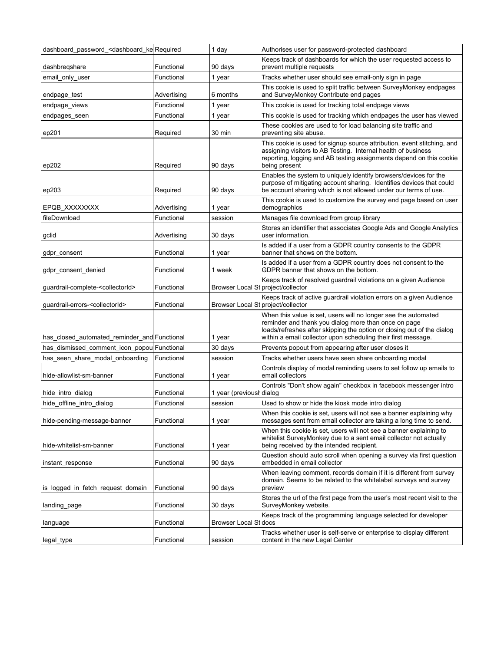| dashboard password <dashboard ke="" required<="" th=""><th></th><th>1 day</th><th>Authorises user for password-protected dashboard</th></dashboard> |             | 1 day                              | Authorises user for password-protected dashboard                                                                                                                                                                                                                  |
|-----------------------------------------------------------------------------------------------------------------------------------------------------|-------------|------------------------------------|-------------------------------------------------------------------------------------------------------------------------------------------------------------------------------------------------------------------------------------------------------------------|
| dashbregshare                                                                                                                                       | Functional  | 90 days                            | Keeps track of dashboards for which the user requested access to<br>prevent multiple requests                                                                                                                                                                     |
| email_only_user                                                                                                                                     | Functional  | 1 year                             | Tracks whether user should see email-only sign in page                                                                                                                                                                                                            |
| endpage_test                                                                                                                                        | Advertising | 6 months                           | This cookie is used to split traffic between SurveyMonkey endpages<br>and SurveyMonkey Contribute end pages                                                                                                                                                       |
| endpage_views                                                                                                                                       | Functional  | 1 year                             | This cookie is used for tracking total endpage views                                                                                                                                                                                                              |
| endpages_seen                                                                                                                                       | Functional  | 1 year                             | This cookie is used for tracking which endpages the user has viewed                                                                                                                                                                                               |
| ep201                                                                                                                                               | Required    | 30 min                             | These cookies are used to for load balancing site traffic and<br>preventing site abuse.                                                                                                                                                                           |
| ep202                                                                                                                                               | Required    | 90 days                            | This cookie is used for signup source attribution, event stitching, and<br>assigning visitors to AB Testing. Internal health of business<br>reporting, logging and AB testing assignments depend on this cookie<br>being present                                  |
| ep203                                                                                                                                               | Required    | 90 days                            | Enables the system to uniquely identify browsers/devices for the<br>purpose of mitigating account sharing. Identifies devices that could<br>be account sharing which is not allowed under our terms of use.                                                       |
| EPQB XXXXXXXX                                                                                                                                       | Advertising | 1 year                             | This cookie is used to customize the survey end page based on user<br>demographics                                                                                                                                                                                |
| fileDownload                                                                                                                                        | Functional  | session                            | Manages file download from group library                                                                                                                                                                                                                          |
| gclid                                                                                                                                               | Advertising | 30 days                            | Stores an identifier that associates Google Ads and Google Analytics<br>user information.                                                                                                                                                                         |
| gdpr_consent                                                                                                                                        | Functional  | 1 year                             | Is added if a user from a GDPR country consents to the GDPR<br>banner that shows on the bottom.                                                                                                                                                                   |
| gdpr consent denied                                                                                                                                 | Functional  | 1 week                             | Is added if a user from a GDPR country does not consent to the<br>GDPR banner that shows on the bottom.                                                                                                                                                           |
| guardrail-complete- <collectorid></collectorid>                                                                                                     | Functional  | Browser Local St project/collector | Keeps track of resolved guardrail violations on a given Audience                                                                                                                                                                                                  |
| quardrail-errors- <collectorid></collectorid>                                                                                                       | Functional  | Browser Local St project/collector | Keeps track of active guardrail violation errors on a given Audience                                                                                                                                                                                              |
| has_closed_automated_reminder_and Functional                                                                                                        |             | 1 year                             | When this value is set, users will no longer see the automated<br>reminder and thank you dialog more than once on page<br>loads/refreshes after skipping the option or closing out of the dialog<br>within a email collector upon scheduling their first message. |
| has_dismissed_comment_icon_popou Functional                                                                                                         |             | 30 days                            | Prevents popout from appearing after user closes it                                                                                                                                                                                                               |
| has_seen_share_modal_onboarding                                                                                                                     | Functional  | session                            | Tracks whether users have seen share onboarding modal                                                                                                                                                                                                             |
| hide-allowlist-sm-banner                                                                                                                            | Functional  | 1 year                             | Controls display of modal reminding users to set follow up emails to<br>email collectors                                                                                                                                                                          |
| hide_intro_dialog                                                                                                                                   | Functional  | 1 year (previousi dialog           | Controls "Don't show again" checkbox in facebook messenger intro                                                                                                                                                                                                  |
| hide_offline_intro_dialog                                                                                                                           | Functional  | session                            | Used to show or hide the kiosk mode intro dialog                                                                                                                                                                                                                  |
| hide-pending-message-banner                                                                                                                         | Functional  | 1 year                             | When this cookie is set, users will not see a banner explaining why<br>messages sent from email collector are taking a long time to send.                                                                                                                         |
| hide-whitelist-sm-banner                                                                                                                            | Functional  | 1 year                             | When this cookie is set, users will not see a banner explaining to<br>whitelist SurveyMonkey due to a sent email collector not actually<br>being received by the intended recipient.                                                                              |
| instant_response                                                                                                                                    | Functional  | 90 days                            | Question should auto scroll when opening a survey via first question<br>embedded in email collector                                                                                                                                                               |
| is_logged_in_fetch_request_domain                                                                                                                   | Functional  | 90 days                            | When leaving comment, records domain if it is different from survey<br>domain. Seems to be related to the whitelabel surveys and survey<br>preview                                                                                                                |
| landing page                                                                                                                                        | Functional  | 30 days                            | Stores the url of the first page from the user's most recent visit to the<br>SurveyMonkey website.                                                                                                                                                                |
| language                                                                                                                                            | Functional  | Browser Local St docs              | Keeps track of the programming language selected for developer                                                                                                                                                                                                    |
| legal_type                                                                                                                                          | Functional  | session                            | Tracks whether user is self-serve or enterprise to display different<br>content in the new Legal Center                                                                                                                                                           |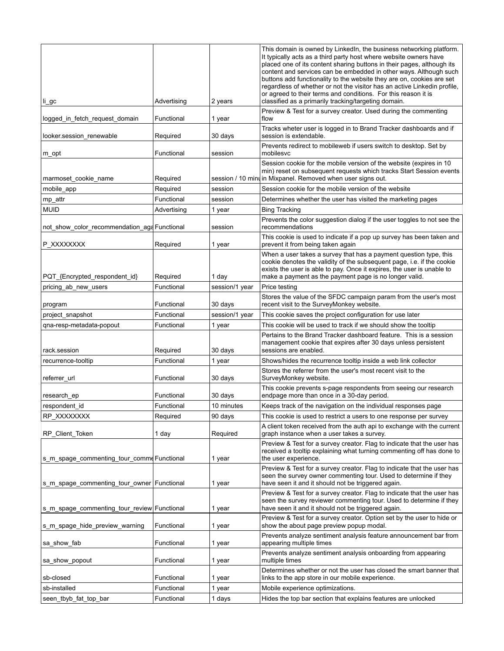| li_gc                                         | Advertising | 2 years          | This domain is owned by LinkedIn, the business networking platform.<br>It typically acts as a third party host where website owners have<br>placed one of its content sharing buttons in their pages, although its<br>content and services can be embedded in other ways. Although such<br>buttons add functionality to the website they are on, cookies are set<br>regardless of whether or not the visitor has an active Linkedin profile,<br>or agreed to their terms and conditions. For this reason it is<br>classified as a primarily tracking/targeting domain. |
|-----------------------------------------------|-------------|------------------|------------------------------------------------------------------------------------------------------------------------------------------------------------------------------------------------------------------------------------------------------------------------------------------------------------------------------------------------------------------------------------------------------------------------------------------------------------------------------------------------------------------------------------------------------------------------|
| logged_in_fetch_request_domain                | Functional  | 1 year           | Preview & Test for a survey creator. Used during the commenting<br>flow                                                                                                                                                                                                                                                                                                                                                                                                                                                                                                |
| looker.session_renewable                      | Required    | 30 days          | Tracks wheter user is logged in to Brand Tracker dashboards and if<br>session is extendable.                                                                                                                                                                                                                                                                                                                                                                                                                                                                           |
| m_opt                                         | Functional  | session          | Prevents redirect to mobileweb if users switch to desktop. Set by<br>mobilesvc                                                                                                                                                                                                                                                                                                                                                                                                                                                                                         |
| marmoset_cookie_name                          | Required    |                  | Session cookie for the mobile version of the website (expires in 10<br>min) reset on subsequent requests which tracks Start Session events<br>session / 10 mind in Mixpanel. Removed when user signs out.                                                                                                                                                                                                                                                                                                                                                              |
| mobile_app                                    | Required    | session          | Session cookie for the mobile version of the website                                                                                                                                                                                                                                                                                                                                                                                                                                                                                                                   |
|                                               | Functional  | session          | Determines whether the user has visited the marketing pages                                                                                                                                                                                                                                                                                                                                                                                                                                                                                                            |
| mp_attr<br><b>MUID</b>                        | Advertising | 1 year           | <b>Bing Tracking</b>                                                                                                                                                                                                                                                                                                                                                                                                                                                                                                                                                   |
| not_show_color_recommendation_ag4 Functional  |             | session          | Prevents the color suggestion dialog if the user toggles to not see the<br>recommendations                                                                                                                                                                                                                                                                                                                                                                                                                                                                             |
| P XXXXXXXX                                    | Required    | 1 year           | This cookie is used to indicate if a pop up survey has been taken and<br>prevent it from being taken again                                                                                                                                                                                                                                                                                                                                                                                                                                                             |
| PQT_{Encrypted_respondent_id}                 | Required    | 1 day            | When a user takes a survey that has a payment question type, this<br>cookie denotes the validity of the subsequent page, i.e. if the cookie<br>exists the user is able to pay. Once it expires, the user is unable to<br>make a payment as the payment page is no longer valid.                                                                                                                                                                                                                                                                                        |
| pricing_ab_new_users                          | Functional  | session/1 year   | Price testing                                                                                                                                                                                                                                                                                                                                                                                                                                                                                                                                                          |
| program                                       | Functional  | 30 days          | Stores the value of the SFDC campaign param from the user's most<br>recent visit to the SurveyMonkey website.                                                                                                                                                                                                                                                                                                                                                                                                                                                          |
| project_snapshot                              | Functional  | session/1 year   | This cookie saves the project configuration for use later                                                                                                                                                                                                                                                                                                                                                                                                                                                                                                              |
| qna-resp-metadata-popout                      | Functional  | 1 year           | This cookie will be used to track if we should show the tooltip                                                                                                                                                                                                                                                                                                                                                                                                                                                                                                        |
| rack.session                                  | Required    | 30 days          | Pertains to the Brand Tracker dashboard feature. This is a session<br>management cookie that expires after 30 days unless persistent<br>sessions are enabled.                                                                                                                                                                                                                                                                                                                                                                                                          |
| recurrence-tooltip                            | Functional  | 1 year           | Shows/hides the recurrence tooltip inside a web link collector                                                                                                                                                                                                                                                                                                                                                                                                                                                                                                         |
| referrer_url                                  | Functional  | 30 days          | Stores the referrer from the user's most recent visit to the<br>SurveyMonkey website.                                                                                                                                                                                                                                                                                                                                                                                                                                                                                  |
| research_ep                                   | Functional  | 30 days          | This cookie prevents s-page respondents from seeing our research<br>endpage more than once in a 30-day period.                                                                                                                                                                                                                                                                                                                                                                                                                                                         |
| respondent id                                 | Functional  | 10 minutes       | Keeps track of the navigation on the individual responses page                                                                                                                                                                                                                                                                                                                                                                                                                                                                                                         |
| RP_XXXXXXXX                                   | Required    | 90 days          | This cookie is used to restrict a users to one response per survey                                                                                                                                                                                                                                                                                                                                                                                                                                                                                                     |
| RP_Client_Token                               | 1 day       | Required         | A client token received from the auth api to exchange with the current<br>graph instance when a user takes a survey.                                                                                                                                                                                                                                                                                                                                                                                                                                                   |
| s_m_spage_commenting_tour_comme Functional    |             | 1 year           | Preview & Test for a survey creator. Flag to indicate that the user has<br>received a tooltip explaining what turning commenting off has done to<br>the user experience.                                                                                                                                                                                                                                                                                                                                                                                               |
| s_m_spage_commenting_tour_owner   Functional  |             | 1 year           | Preview & Test for a survey creator. Flag to indicate that the user has<br>seen the survey owner commenting tour. Used to determine if they<br>have seen it and it should not be triggered again.                                                                                                                                                                                                                                                                                                                                                                      |
| s_m_spage_commenting_tour_review Functional   |             |                  | Preview & Test for a survey creator. Flag to indicate that the user has<br>seen the survey reviewer commenting tour. Used to determine if they<br>have seen it and it should not be triggered again.                                                                                                                                                                                                                                                                                                                                                                   |
|                                               | Functional  | 1 year           | Preview & Test for a survey creator. Option set by the user to hide or<br>show the about page preview popup modal.                                                                                                                                                                                                                                                                                                                                                                                                                                                     |
| s_m_spage_hide_preview_warning<br>sa_show_fab | Functional  | 1 year           | Prevents analyze sentiment analysis feature announcement bar from<br>appearing multiple times                                                                                                                                                                                                                                                                                                                                                                                                                                                                          |
| sa_show_popout                                | Functional  | 1 year<br>1 year | Prevents analyze sentiment analysis onboarding from appearing<br>multiple times                                                                                                                                                                                                                                                                                                                                                                                                                                                                                        |
| sb-closed                                     | Functional  | 1 year           | Determines whether or not the user has closed the smart banner that<br>links to the app store in our mobile experience.                                                                                                                                                                                                                                                                                                                                                                                                                                                |
| sb-installed                                  | Functional  | 1 year           | Mobile experience optimizations.                                                                                                                                                                                                                                                                                                                                                                                                                                                                                                                                       |
| seen tbyb fat top bar                         | Functional  | 1 days           | Hides the top bar section that explains features are unlocked                                                                                                                                                                                                                                                                                                                                                                                                                                                                                                          |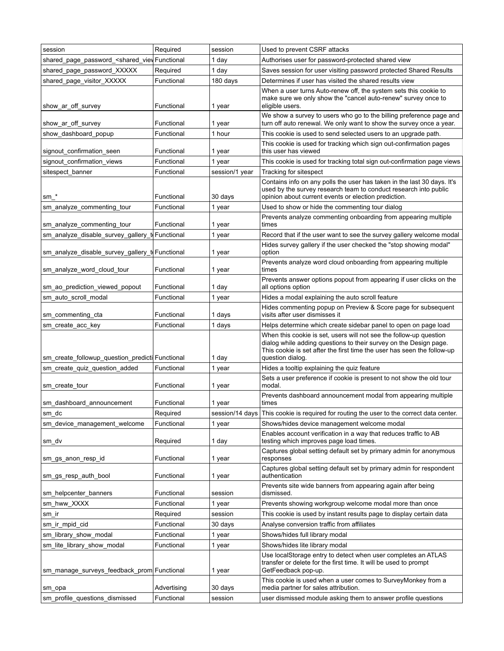| session                                                                                                                                                  | Required    | session        | Used to prevent CSRF attacks                                                                                                                                                                                                           |
|----------------------------------------------------------------------------------------------------------------------------------------------------------|-------------|----------------|----------------------------------------------------------------------------------------------------------------------------------------------------------------------------------------------------------------------------------------|
| shared_page_password_ <shared_viev functional<="" td=""><td></td><td>1 day</td><td>Authorises user for password-protected shared view</td></shared_viev> |             | 1 day          | Authorises user for password-protected shared view                                                                                                                                                                                     |
| shared_page_password_XXXXX                                                                                                                               | Required    | 1 day          | Saves session for user visiting password protected Shared Results                                                                                                                                                                      |
| shared_page_visitor_XXXXX                                                                                                                                | Functional  | 180 days       | Determines if user has visited the shared results view                                                                                                                                                                                 |
| show_ar_off_survey                                                                                                                                       | Functional  | 1 year         | When a user turns Auto-renew off, the system sets this cookie to<br>make sure we only show the "cancel auto-renew" survey once to<br>eligible users.                                                                                   |
| show ar off survey                                                                                                                                       | Functional  | 1 year         | We show a survey to users who go to the billing preference page and<br>turn off auto renewal. We only want to show the survey once a year.                                                                                             |
| show dashboard popup                                                                                                                                     | Functional  | 1 hour         | This cookie is used to send selected users to an upgrade path.                                                                                                                                                                         |
| signout_confirmation_seen                                                                                                                                | Functional  | 1 year         | This cookie is used for tracking which sign out-confirmation pages<br>this user has viewed                                                                                                                                             |
| signout_confirmation_views                                                                                                                               | Functional  | 1 year         | This cookie is used for tracking total sign out-confirmation page views                                                                                                                                                                |
| sitespect_banner                                                                                                                                         | Functional  | session/1 year | Tracking for sitespect                                                                                                                                                                                                                 |
| sm *                                                                                                                                                     | Functional  | 30 days        | Contains info on any polls the user has taken in the last 30 days. It's<br>used by the survey research team to conduct research into public<br>opinion about current events or election prediction.                                    |
| sm_analyze_commenting_tour                                                                                                                               | Functional  | 1 year         | Used to show or hide the commenting tour dialog                                                                                                                                                                                        |
| sm_analyze_commenting_tour                                                                                                                               | Functional  | 1 year         | Prevents analyze commenting onboarding from appearing multiple<br>times                                                                                                                                                                |
| sm_analyze_disable_survey_gallery_<br>t                                                                                                                  | Functional  | 1 year         | Record that if the user want to see the survey gallery welcome modal                                                                                                                                                                   |
| sm_analyze_disable_survey_gallery_t  Functional                                                                                                          |             | 1 year         | Hides survey gallery if the user checked the "stop showing modal"<br>option                                                                                                                                                            |
| sm_analyze_word_cloud_tour                                                                                                                               | Functional  | 1 year         | Prevents analyze word cloud onboarding from appearing multiple<br>times                                                                                                                                                                |
| sm_ao_prediction_viewed_popout                                                                                                                           | Functional  | 1 day          | Prevents answer options popout from appearing if user clicks on the<br>all options option                                                                                                                                              |
| sm_auto_scroll_modal                                                                                                                                     | Functional  | 1 year         | Hides a modal explaining the auto scroll feature                                                                                                                                                                                       |
| sm_commenting_cta                                                                                                                                        | Functional  | 1 days         | Hides commenting popup on Preview & Score page for subsequent<br>visits after user dismisses it                                                                                                                                        |
| sm_create_acc_key                                                                                                                                        | Functional  | 1 days         | Helps determine which create sidebar panel to open on page load                                                                                                                                                                        |
| sm_create_followup_question_predicti Functional                                                                                                          |             | 1 day          | When this cookie is set, users will not see the follow-up question<br>dialog while adding questions to their survey on the Design page.<br>This cookie is set after the first time the user has seen the follow-up<br>question dialog. |
| sm_create_quiz_question_added                                                                                                                            | Functional  | 1 year         | Hides a tooltip explaining the quiz feature                                                                                                                                                                                            |
| sm_create_tour                                                                                                                                           | Functional  | 1 year         | Sets a user preference if cookie is present to not show the old tour<br>modal.                                                                                                                                                         |
| sm_dashboard_announcement                                                                                                                                | Functional  | 1 year         | Prevents dashboard announcement modal from appearing multiple<br>times                                                                                                                                                                 |
| sm dc                                                                                                                                                    | Required    |                | session/14 days   This cookie is required for routing the user to the correct data center.                                                                                                                                             |
| sm device management welcome                                                                                                                             | Functional  | 1 year         | Shows/hides device management welcome modal                                                                                                                                                                                            |
| sm_dv                                                                                                                                                    | Required    | 1 day          | Enables account verification in a way that reduces traffic to AB<br>testing which improves page load times.                                                                                                                            |
| sm_gs_anon_resp_id                                                                                                                                       | Functional  | 1 year         | Captures global setting default set by primary admin for anonymous<br>responses                                                                                                                                                        |
| sm_gs_resp_auth_bool                                                                                                                                     | Functional  | 1 year         | Captures global setting default set by primary admin for respondent<br>authentication                                                                                                                                                  |
| sm_helpcenter_banners                                                                                                                                    | Functional  | session        | Prevents site wide banners from appearing again after being<br>dismissed.                                                                                                                                                              |
| sm hww XXXX                                                                                                                                              | Functional  | 1 year         | Prevents showing workgroup welcome modal more than once                                                                                                                                                                                |
| sm ir                                                                                                                                                    | Required    | session        | This cookie is used by instant results page to display certain data                                                                                                                                                                    |
| sm_ir_mpid_cid                                                                                                                                           | Functional  | 30 days        | Analyse conversion traffic from affiliates                                                                                                                                                                                             |
| sm_library_show_modal                                                                                                                                    | Functional  | 1 year         | Shows/hides full library modal                                                                                                                                                                                                         |
| sm_lite_library_show_modal                                                                                                                               | Functional  | 1 year         | Shows/hides lite library modal                                                                                                                                                                                                         |
| sm_manage_surveys_feedback_prom Functional                                                                                                               |             | 1 year         | Use localStorage entry to detect when user completes an ATLAS<br>transfer or delete for the first time. It will be used to prompt<br>GetFeedback pop-up.                                                                               |
| sm_opa                                                                                                                                                   | Advertising | 30 days        | This cookie is used when a user comes to SurveyMonkey from a<br>media partner for sales attribution.                                                                                                                                   |
| sm_profile_questions_dismissed                                                                                                                           | Functional  | session        | user dismissed module asking them to answer profile questions                                                                                                                                                                          |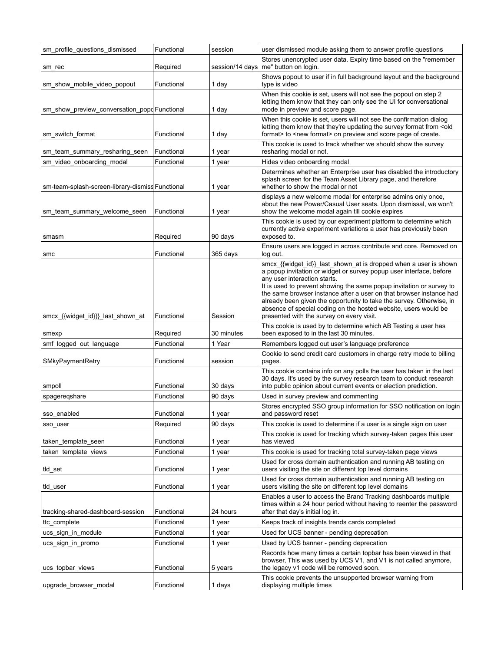| sm_profile_questions_dismissed                   | Functional | session    | user dismissed module asking them to answer profile questions                                                                                                                                                                                                                                                                                                                                                                                                                                                  |
|--------------------------------------------------|------------|------------|----------------------------------------------------------------------------------------------------------------------------------------------------------------------------------------------------------------------------------------------------------------------------------------------------------------------------------------------------------------------------------------------------------------------------------------------------------------------------------------------------------------|
| sm_rec                                           | Required   |            | Stores unencrypted user data. Expiry time based on the "remember<br>session/14 days   me" button on login.                                                                                                                                                                                                                                                                                                                                                                                                     |
| sm_show_mobile_video_popout                      | Functional | 1 day      | Shows popout to user if in full background layout and the background<br>type is video                                                                                                                                                                                                                                                                                                                                                                                                                          |
| sm_show_preview_conversation_popd Functional     |            | 1 day      | When this cookie is set, users will not see the popout on step 2<br>letting them know that they can only see the UI for conversational<br>mode in preview and score page.                                                                                                                                                                                                                                                                                                                                      |
| sm_switch_format                                 | Functional | 1 day      | When this cookie is set, users will not see the confirmation dialog<br>letting them know that they're updating the survey format from <old<br>format&gt; to <new format=""> on preview and score page of create.</new></old<br>                                                                                                                                                                                                                                                                                |
| sm team summary resharing seen                   | Functional | 1 year     | This cookie is used to track whether we should show the survey<br>resharing modal or not.                                                                                                                                                                                                                                                                                                                                                                                                                      |
| sm_video_onboarding_modal                        | Functional | 1 year     | Hides video onboarding modal                                                                                                                                                                                                                                                                                                                                                                                                                                                                                   |
| sm-team-splash-screen-library-dismiss Functional |            | 1 year     | Determines whether an Enterprise user has disabled the introductory<br>splash screen for the Team Asset Library page, and therefore<br>whether to show the modal or not                                                                                                                                                                                                                                                                                                                                        |
| sm team summary welcome seen                     | Functional | 1 year     | displays a new welcome modal for enterprise admins only once,<br>about the new Power/Casual User seats. Upon dismissal, we won't<br>show the welcome modal again till cookie expires                                                                                                                                                                                                                                                                                                                           |
| smasm                                            | Required   | 90 days    | This cookie is used by our experiment platform to determine which<br>currently active experiment variations a user has previously been<br>exposed to.                                                                                                                                                                                                                                                                                                                                                          |
| smc                                              | Functional | 365 days   | Ensure users are logged in across contribute and core. Removed on<br>log out.                                                                                                                                                                                                                                                                                                                                                                                                                                  |
| smcx {{widget_id}}} last_shown_at                | Functional | Session    | smcx_{{widget_id}}_last_shown_at is dropped when a user is shown<br>a popup invitation or widget or survey popup user interface, before<br>any user interaction starts.<br>It is used to prevent showing the same popup invitation or survey to<br>the same browser instance after a user on that browser instance had<br>already been given the opportunity to take the survey. Otherwise, in<br>absence of special coding on the hosted website, users would be<br>presented with the survey on every visit. |
| smexp                                            | Required   | 30 minutes | This cookie is used by to determine which AB Testing a user has<br>been exposed to in the last 30 minutes.                                                                                                                                                                                                                                                                                                                                                                                                     |
| smf_logged_out_language                          | Functional | 1 Year     | Remembers logged out user's language preference                                                                                                                                                                                                                                                                                                                                                                                                                                                                |
| SMkyPaymentRetry                                 | Functional | session    | Cookie to send credit card customers in charge retry mode to billing<br>pages.                                                                                                                                                                                                                                                                                                                                                                                                                                 |
| smpoll                                           | Functional | 30 days    | This cookie contains info on any polls the user has taken in the last<br>30 days. It's used by the survey research team to conduct research<br>into public opinion about current events or election prediction.                                                                                                                                                                                                                                                                                                |
| spageregshare                                    | Functional | 90 days    | Used in survey preview and commenting                                                                                                                                                                                                                                                                                                                                                                                                                                                                          |
| sso_enabled                                      | Functional | 1 year     | Stores encrypted SSO group information for SSO notification on login<br>and password reset                                                                                                                                                                                                                                                                                                                                                                                                                     |
| sso_user                                         | Required   | 90 days    | This cookie is used to determine if a user is a single sign on user                                                                                                                                                                                                                                                                                                                                                                                                                                            |
| taken_template_seen                              | Functional | 1 year     | This cookie is used for tracking which survey-taken pages this user<br>has viewed                                                                                                                                                                                                                                                                                                                                                                                                                              |
| taken template views                             | Functional | 1 year     | This cookie is used for tracking total survey-taken page views                                                                                                                                                                                                                                                                                                                                                                                                                                                 |
| tld_set                                          | Functional | 1 year     | Used for cross domain authentication and running AB testing on<br>users visiting the site on different top level domains                                                                                                                                                                                                                                                                                                                                                                                       |
| tid_user                                         | Functional | 1 year     | Used for cross domain authentication and running AB testing on<br>users visiting the site on different top level domains                                                                                                                                                                                                                                                                                                                                                                                       |
| tracking-shared-dashboard-session                | Functional | 24 hours   | Enables a user to access the Brand Tracking dashboards multiple<br>times within a 24 hour period without having to reenter the password<br>after that day's initial log in.                                                                                                                                                                                                                                                                                                                                    |
| ttc complete                                     | Functional | 1 year     | Keeps track of insights trends cards completed                                                                                                                                                                                                                                                                                                                                                                                                                                                                 |
| ucs_sign_in_module                               | Functional | 1 year     | Used for UCS banner - pending deprecation                                                                                                                                                                                                                                                                                                                                                                                                                                                                      |
| ucs_sign_in_promo                                | Functional | 1 year     | Used by UCS banner - pending deprecation                                                                                                                                                                                                                                                                                                                                                                                                                                                                       |
| ucs_topbar_views                                 | Functional | 5 years    | Records how many times a certain topbar has been viewed in that<br>browser, This was used by UCS V1, and V1 is not called anymore,<br>the legacy v1 code will be removed soon.                                                                                                                                                                                                                                                                                                                                 |
| upgrade_browser_modal                            | Functional | 1 days     | This cookie prevents the unsupported browser warning from<br>displaying multiple times                                                                                                                                                                                                                                                                                                                                                                                                                         |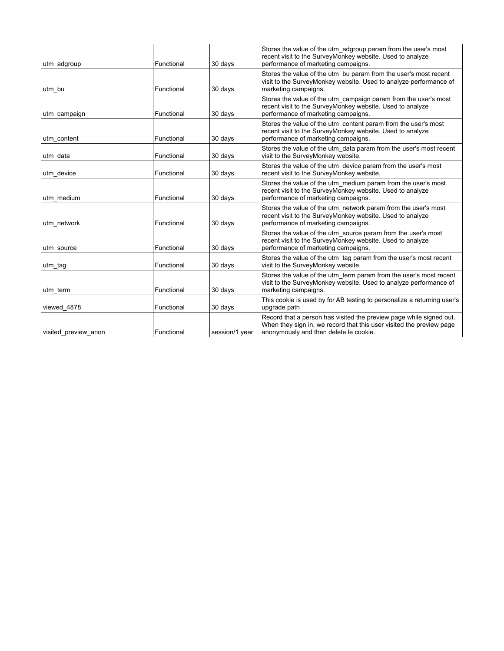| utm adgroup          | Functional | 30 days        | Stores the value of the utm_adgroup param from the user's most<br>recent visit to the SurveyMonkey website. Used to analyze<br>performance of marketing campaigns.                    |
|----------------------|------------|----------------|---------------------------------------------------------------------------------------------------------------------------------------------------------------------------------------|
| utm bu               | Functional | 30 days        | Stores the value of the utm_bu param from the user's most recent<br>visit to the SurveyMonkey website. Used to analyze performance of<br>marketing campaigns.                         |
| utm campaign         | Functional | 30 days        | Stores the value of the utm_campaign param from the user's most<br>recent visit to the SurveyMonkey website. Used to analyze<br>performance of marketing campaigns.                   |
| utm content          | Functional | 30 days        | Stores the value of the utm content param from the user's most<br>recent visit to the SurveyMonkey website. Used to analyze<br>performance of marketing campaigns.                    |
| utm data             | Functional | 30 days        | Stores the value of the utm_data param from the user's most recent<br>visit to the SurveyMonkey website.                                                                              |
| utm_device           | Functional | 30 days        | Stores the value of the utm_device param from the user's most<br>recent visit to the SurveyMonkey website.                                                                            |
| utm medium           | Functional | 30 days        | Stores the value of the utm medium param from the user's most<br>recent visit to the SurveyMonkey website. Used to analyze<br>performance of marketing campaigns.                     |
| utm network          | Functional | 30 days        | Stores the value of the utm network param from the user's most<br>recent visit to the SurveyMonkey website. Used to analyze<br>performance of marketing campaigns.                    |
| utm source           | Functional | 30 days        | Stores the value of the utm source param from the user's most<br>recent visit to the SurveyMonkey website. Used to analyze<br>performance of marketing campaigns.                     |
| utm tag              | Functional | 30 days        | Stores the value of the utm tag param from the user's most recent<br>visit to the SurveyMonkey website.                                                                               |
| utm term             | Functional | 30 days        | Stores the value of the utm term param from the user's most recent<br>visit to the SurveyMonkey website. Used to analyze performance of<br>marketing campaigns.                       |
| viewed_4878          | Functional | 30 days        | This cookie is used by for AB testing to personalize a returning user's<br>upgrade path                                                                                               |
| visited preview anon | Functional | session/1 year | Record that a person has visited the preview page while signed out.<br>When they sign in, we record that this user visited the preview page<br>anonymously and then delete le cookie. |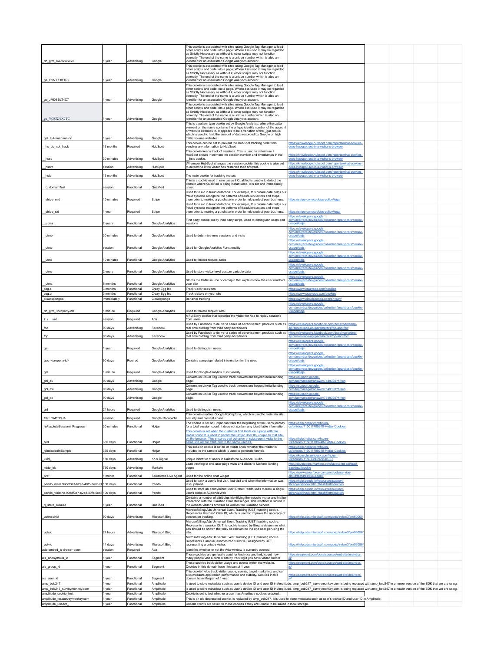|                                                         |                      |                          |                                          | This cookie is associated with sites using Google Tag Manager to load<br>other scripts and code into a page. Where it is used it may be regarded                                                                    |                                                                                                   |  |  |
|---------------------------------------------------------|----------------------|--------------------------|------------------------------------------|---------------------------------------------------------------------------------------------------------------------------------------------------------------------------------------------------------------------|---------------------------------------------------------------------------------------------------|--|--|
|                                                         |                      |                          |                                          | as Strictly Necessary as without it, other scripts may not function<br>correctly. The end of the name is a unique number which is also an                                                                           |                                                                                                   |  |  |
| dc_gtm_UA-xxxxxxxx                                      | 1 year               | Advertising              | Google                                   | identifier for an associated Google Analytics account.                                                                                                                                                              |                                                                                                   |  |  |
|                                                         |                      |                          |                                          | This cookie is associated with sites using Google Tag Manager to load<br>other scripts and code into a page. Where it is used it may be regarded                                                                    |                                                                                                   |  |  |
|                                                         |                      |                          |                                          | as Strictly Necessary as without it, other scripts may not function<br>correctly. The end of the name is a unique number which is also an                                                                           |                                                                                                   |  |  |
| ga_C9NYX1KTR9                                           | 1 year               | Advertising              | Google                                   | identifier for an associated Google Analytics account.<br>This cookie is associated with sites using Google Tag Manager to load                                                                                     |                                                                                                   |  |  |
|                                                         |                      |                          |                                          | other scripts and code into a page. Where it is used it may be regarded<br>as Strictly Necessary as without it, other scripts may not function                                                                      |                                                                                                   |  |  |
| ga_JMDBBLT4C7                                           | 1 year               | Advertising              | Google                                   | correctly. The end of the name is a unique number which is also an<br>identifier for an associated Google Analytics account.                                                                                        |                                                                                                   |  |  |
|                                                         |                      |                          |                                          | This cookie is associated with sites using Google Tag Manager to load                                                                                                                                               |                                                                                                   |  |  |
|                                                         |                      |                          |                                          | other scripts and code into a page. Where it is used it may be regarded<br>as Strictly Necessary as without it, other scripts may not function                                                                      |                                                                                                   |  |  |
| ga_YGSXJ1X7TC                                           | 1 year               | Advertising              | Google                                   | correctly. The end of the name is a unique number which is also an<br>identifier for an associated Google Analytics account.                                                                                        |                                                                                                   |  |  |
|                                                         |                      |                          |                                          | This is a pattern type cookie set by Google Analytics, where the pattern<br>element on the name contains the unique identity number of the account                                                                  |                                                                                                   |  |  |
|                                                         |                      |                          |                                          | or website it relates to. It appears to be a variation of the gat cookie<br>which is used to limit the amount of data recorded by Google on high                                                                    |                                                                                                   |  |  |
| gat_UA-nnnnnnn-nn                                       | 1 year               | Advertising              | Google                                   | traffic volume websites.<br>This cookie can be set to prevent the HubSpot tracking code from                                                                                                                        | https://knowledge.hubspot.com/reports/what-cookies-                                               |  |  |
| hs_do_not_track                                         | 13 months            | Required                 | HubSpot                                  | sending any information to HubSpot.                                                                                                                                                                                 | oes-hubspot-set-in-a-visitor-s-browser                                                            |  |  |
|                                                         |                      |                          |                                          | This cookie keeps track of sessions. This is used to determine if<br>HubSpot should increment the session number and timestamps in the                                                                              | ttps://knowledge.hubspot.com/reports/what-cookies                                                 |  |  |
| hssc                                                    | 30 minutes           | Advertising              | HubSpot                                  | hstc cookie<br>Whenever HubSpot changes the session cookie, this cookie is also set                                                                                                                                 | oes-hubspot-set-in-a-visitor-s-browse<br>ttps://knowledge.hubspot.com/reports/what-cookies-       |  |  |
| hssrc                                                   | session              | Advertising              | HubSpot                                  | to determine if the visitor has restarted their browser.                                                                                                                                                            | oes-hubspot-set-in-a-visitor-s-browser                                                            |  |  |
| hstc                                                    | 13 months            | Advertising              | HubSpot                                  | The main cookie for tracking visitors                                                                                                                                                                               | https://knowledge.hubspot.com/reports/what-cookies-<br>oes-hubspot-set-in-a-visitor-s-browser     |  |  |
|                                                         |                      |                          |                                          | This is a cookie used in rare cases if Qualified is unable to detect the<br>domain where Qualified is being instantiated. It is set and immediately                                                                 |                                                                                                   |  |  |
| _q_domainTest                                           | session              | Functional               | Qualified                                | unset.<br>Used to to aid in fraud detection. For example, this cookie data helps our                                                                                                                                |                                                                                                   |  |  |
|                                                         | 10 minutes           | Required                 | Stripe                                   | fraud systems recognize the patterns of fraudulent actors and stops                                                                                                                                                 | ttps://stripe.com/cookies-policy/lega                                                             |  |  |
| stripe_mid                                              |                      |                          |                                          | them prior to making a purchase in order to help protect your business.<br>Used to to aid in fraud detection. For example, this cookie data helps our                                                               |                                                                                                   |  |  |
| _stripe_sid                                             | 1 year               | Required                 | Stripe                                   | fraud systems recognize the patterns of fraudulent actors and stops<br>them prior to making a purchase in order to help protect your business.                                                                      | https://stripe.com/cookies-policy/lega                                                            |  |  |
|                                                         |                      |                          |                                          |                                                                                                                                                                                                                     | ttps://developers.google.                                                                         |  |  |
| utma                                                    | 2 years              | Functional               | Google Analytics                         | First party cookie set by third party script. Used to distinguish users and<br>sessions                                                                                                                             | om/analytics/devguides/collection/analyticsjs/cookie<br><u>sage#gajs</u>                          |  |  |
|                                                         |                      |                          |                                          |                                                                                                                                                                                                                     | ttps://developers.google.<br>com/analytics/devguides/collection/analyticsjs/cookie-               |  |  |
| utmb                                                    | 30 minutes           | Functional               | <b>Google Analytics</b>                  | Used to determine new sessions and visits                                                                                                                                                                           | sage#gajs<br>ttps://developers.google.                                                            |  |  |
| utmc                                                    | session              | Functional               | Google Analytics                         | Used for Google Analytics Functionality                                                                                                                                                                             | com/analytics/devguides/collection/analyticsjs/cookie-                                            |  |  |
|                                                         |                      |                          |                                          |                                                                                                                                                                                                                     | ttps://developers.google.                                                                         |  |  |
| utmt                                                    | 10 minutes           | Functional               | Google Analytics                         | Used to throttle request rates                                                                                                                                                                                      | om/analytics/devguides/collection/analyticsjs/cookie-<br>sage#gajs                                |  |  |
|                                                         |                      |                          |                                          |                                                                                                                                                                                                                     | https://developers.google.<br>om/analytics/devguides/collection/analyticsjs/cookie-               |  |  |
| utmv                                                    | 2 years              | Functional               | Google Analytics                         | Used to store visitor-level custom variable data                                                                                                                                                                    | sage#gai:                                                                                         |  |  |
|                                                         |                      |                          |                                          | Stores the traffic source or camapin that explains how the user reached                                                                                                                                             | https://developers.google.<br>: <u>om/analytics/devguides/collection/analyticsjs/cookie</u>       |  |  |
| utmz<br>ceg.s                                           | 6 months<br>3 months | Functional<br>Functional | <b>Google Analytics</b><br>Crazy Egg Inc | vour site<br>Track visitor sessions                                                                                                                                                                                 | <u>sage#gais</u><br>ttps://www.crazyegg.com/cookies                                               |  |  |
| ceg.u                                                   | 3 months             | Functional               | Crazy Egg Inc                            | Track visitors on your site                                                                                                                                                                                         | ttps://www.crazyegg.com/cookies                                                                   |  |  |
| cloudspongea                                            | Immediately          | Functional               | Cloudsponge                              | Behavior tracking                                                                                                                                                                                                   | ttps://www.cloudsponge.com/privacy                                                                |  |  |
|                                                         |                      |                          |                                          |                                                                                                                                                                                                                     | https://developers.google.<br>:om/analytics/devguides/collection/analyticsjs/cookie               |  |  |
| dc_gtm_ <property-id></property-id>                     | 1 minute             | Required                 | Google Analytics                         | Used to throttle request rate.<br>A FullStory cookie that identifies the visitor for Ada to replay sessions                                                                                                         | <u>sage#gajs</u>                                                                                  |  |  |
| uid<br>fs                                               | session              | Required                 | Ada                                      | from users<br>Used by Facebook to deliver a series of advertisement products such as                                                                                                                                | https://developers.facebook.com/docs/marketing-                                                   |  |  |
| fbc                                                     | 90 days              | Advertising              | Facebook                                 | real time bidding from third party advertisers                                                                                                                                                                      | i/server-side-api/parameters/fbp-and-fbc/                                                         |  |  |
| fbp                                                     | 90 days              | Advertising              | Facebook                                 | Used by Facebook to deliver a series of advertisement products such as<br>real time bidding from third party advertisers                                                                                            | ttps://developers.facebook.com/docs/marketing-<br>pi/server-side-api/parameters/fbp-and-fbc/      |  |  |
|                                                         |                      |                          |                                          |                                                                                                                                                                                                                     | https://developers.google.<br>com/analytics/devguides/collection/analyticsjs/cookie               |  |  |
| ga                                                      | 1 year               | Required                 | Google Analytics                         | Used to distinguish users.                                                                                                                                                                                          |                                                                                                   |  |  |
|                                                         |                      |                          |                                          |                                                                                                                                                                                                                     | https://developers.google.<br>com/analytics/devguides/collection/analyticsjs/cookie-              |  |  |
| _gac_ <property-id></property-id>                       | 90 days              | Rquired                  | Google Analytics                         | Contains campaign related information for the user                                                                                                                                                                  | sage#gajs                                                                                         |  |  |
| gat                                                     | 1 minute             | Required                 | <b>Google Analytics</b>                  | Used for Google Analytics Functionality                                                                                                                                                                             | https://developers.google.<br>com/analytics/devguides/collection/analyticsjs/cookie-<br>sage#gajs |  |  |
|                                                         |                      |                          |                                          | Conversion Linker Tag used to track conversions beyond initial landing                                                                                                                                              | ttps://support.google                                                                             |  |  |
| gcl_au                                                  | 90 days              | Advertising              | Google                                   | page<br>Conversion Linker Tag used to track conversions beyond initial landing                                                                                                                                      | om/tagmanager/answer/7549390?hl=en<br>ttps://support.google.                                      |  |  |
| gcl_aw                                                  | 90 days              | Advertising              | Google                                   | page.<br>Conversion Linker Tag used to track conversions beyond initial landing                                                                                                                                     | com/tagmanager/answer/7549390?hl=en<br>ttps://support.google.                                     |  |  |
| gcl_dc                                                  | 90 days              | Advertising              | Google                                   | page.                                                                                                                                                                                                               | om/tagmanager/answer/7549390?hl=en                                                                |  |  |
|                                                         |                      |                          |                                          |                                                                                                                                                                                                                     | nttps://developers.google.<br>om/analytics/devguides/collection/analyticsjs/cookie                |  |  |
| gid                                                     | 24 hours             | Reguired                 | <b>Google Analytics</b>                  | Used to distinguish users<br>This cookie enables Google ReCaptcha, which is used to maintain site                                                                                                                   | sage#gais                                                                                         |  |  |
| <b>GRECAPTCHA</b>                                       | session              | Required                 | Google Recaptcha                         | security and prevent abuse.                                                                                                                                                                                         |                                                                                                   |  |  |
| hjAbsoluteSessionInProgress                             | 30 minutes           | Functional               | Hotjar                                   | The cookie is set so Hotjar can track the beginning of the user's journey<br>for a total session count. It does not contain any identifiable information.                                                           | https://help.hotjar.com/hc/en-<br>s/articles/115011789248-Hotjar-Cookies                          |  |  |
|                                                         |                      |                          |                                          | This cookie is set when the customer first lands on a page with the<br>Hotjar script. It is used to persist the Hotjar User ID, unique to that site                                                                 |                                                                                                   |  |  |
| hjid                                                    | 365 days             | Functional               | Hotjar                                   | on the browser. This ensures that behavior in subsequent visits to the<br>ame site will be attributed to the same user ID.                                                                                          | https://help.hotjar.com/hc/en-<br>s/articles/115011789248-Hotiar-Cookies                          |  |  |
| hjIncludedInSample                                      | 365 days             | Functional               | Hotjar                                   | This session cookie is set to let Hotjar know whether that visitor is<br>included in the sample which is used to generate funnels.                                                                                  | https://help.hotjar.com/hc/en-<br>s/articles/115011789248-Hotjar-Cookies                          |  |  |
|                                                         |                      |                          |                                          |                                                                                                                                                                                                                     | https://konsole.zendesk.com/hc/en-                                                                |  |  |
| kuid                                                    | 180 days             | Advertising              | Krux Digital                             | unique identifier of users in Salesforce Audience Studio<br>Lead tracking of end-user page visits and clicks to Marketo landing                                                                                     | s/articles/115013802488-KUID<br>http://developers.marketo.com/javascript-api/lead-                |  |  |
| mkto trk                                                | 730 days             | Advertising              | Marketo                                  | pages                                                                                                                                                                                                               | racking/#cookie<br>https://www.salesforce.com/products/service-                                   |  |  |
| oref                                                    | 1 month              | Functional               | Salesforce Live Agent                    | Used for the online chat widget                                                                                                                                                                                     | loud/features/live-agent/                                                                         |  |  |
| pendo_meta.99ddf3e7-b2e8-40fb-5ed8-f1 100 days          |                      | Functional               | Pendo                                    | Used to track a user's first visit, last visit and when the information was<br>last updated.                                                                                                                        | ttps://help.pendo.jo/resources/support-<br>prary/api/index.html?bash#introduction                 |  |  |
| pendo_visitorId.99ddf3e7-b2e8-40fb-5ed8 100 days        |                      | Functional               | Pendo                                    | Used to store an anonymized user ID that Pendo uses to track a single<br>user's clicks in AudienceWeb                                                                                                               | ttps://help.pendo.io/resources/support-<br>brary/api/index.html?bash#introduction                 |  |  |
|                                                         |                      |                          |                                          | Contains a number of attributes identifying the website visitor and his/her                                                                                                                                         |                                                                                                   |  |  |
| q_state_XXXXX                                           | 1 year               | Functional               | Qualified                                | interaction with the Qualified Chat Messenger. This identifier is stored in<br>the website visitor's browser as well as the Qualified Service                                                                       |                                                                                                   |  |  |
|                                                         |                      |                          |                                          | Microsoft Bing Ads Universal Event Tracking (UET) tracking cookie.<br>Represents Microsoft Click ID, which is used to improve the accuracy of                                                                       |                                                                                                   |  |  |
| uetmsclkid                                              | 90 days              | Advertising              | Microsoft Bing                           | conversion tracking.<br>Microsoft Bing Ads Universal Event Tracking (UET) tracking cookie.                                                                                                                          | ttps://help.ads.microsoft.com/apex/index/3/en/60000                                               |  |  |
|                                                         |                      |                          |                                          | Represents a session ID. This cookie is used by Bing to determine what<br>ads should be shown that may be relevant to the end user perusing the                                                                     |                                                                                                   |  |  |
| uetsid                                                  | 24 hours             | Advertising              | Microsoft Bing                           | site.                                                                                                                                                                                                               | ttps://help.ads.microsoft.com/apex/index/3/en/53056/                                              |  |  |
|                                                         |                      |                          |                                          | Microsoft Bing Ads Universal Event Tracking (UET) tracking cookie.<br>Represents a unique, anonymized visitor ID, assigned by UET,                                                                                  |                                                                                                   |  |  |
| uetvid<br>ada-embed_is-drawer-open                      | 14 days<br>session   | Advertising<br>Required  | Microsoft Bing<br>Ada                    | representing a unique visitor.<br>Identifies whether or not the Ada window is currently opened                                                                                                                      | ttps://help.ads.microsoft.com/apex/index/3/en/53056/                                              |  |  |
|                                                         |                      |                          |                                          | These cookies are generally used for Analytics and help count how                                                                                                                                                   | https://segment.com/docs/sources/website/analytics.                                               |  |  |
| ajs_anonymous_id                                        | 1 year               | Functional               | Segment                                  | many people visit a certain site by tracking if you have visited before<br>These cookies track visitor usage and events within the website.                                                                         | https://segment.com/docs/sources/website/analytics.                                               |  |  |
| ajs_group_id                                            | 1 year               | Functional               | Segment                                  | Cookies in this domain have lifespan of 1 year.<br>This cookie helps track visitor usage, events, target marketing, and can                                                                                         |                                                                                                   |  |  |
| ajs_user_id                                             | vear                 | Functional               | Segment                                  | also measure application performance and stability. Cookies in this<br>domain have lifespan of 1 year.                                                                                                              | ttps://segment.com/docs/sources/website/analytics.                                                |  |  |
| amp_beb247                                              | 1 year               | Functional               | Amplitude                                | Is used to store metadata such as user's device ID and user ID in Amplitude. amp_beb247_surveymonkey.com is being replaced with amp_beb247 in a newer version of the SDK that we are using.                         |                                                                                                   |  |  |
| amp_beb247_surveymonkey.com                             | 1 year               | Functional               | Amplitude                                | Is used to store metadata such as user's device ID and user ID in Amplitude. amp_beb247_surveymonkey.com is being replaced with amp_beb247 in a newer version of the SDK that we are using.                         |                                                                                                   |  |  |
| amplitude_cookie_test<br>amplitude_testsurveymonkey.com | 1 year<br>1 year     | Functional<br>Functional | Amplitude<br>Amplitude                   | Cookie is set to test whether a user has Amplitude cookies enabled.<br>This is an old deprecated cookie. Is replaced by amp_beb247. It is used to store metadata such as user's device ID and user ID in Amplitude. |                                                                                                   |  |  |
| amplitude_unsent                                        | 1 year               | Functional               | Amplitude                                | Unsent events are saved to these cookies if they are unable to be saved in local storage.                                                                                                                           |                                                                                                   |  |  |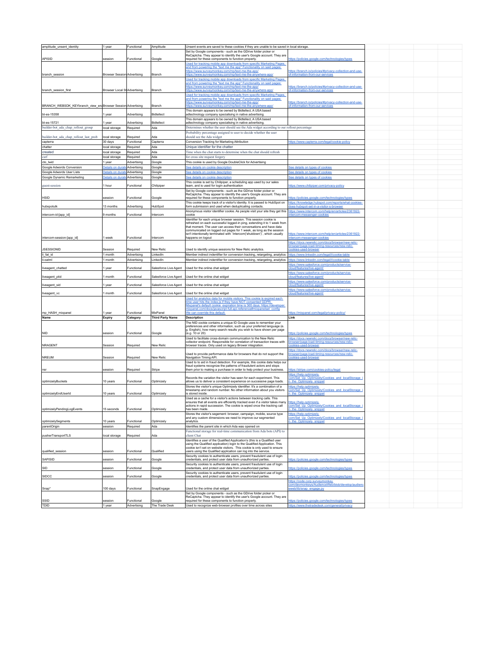| amplitude_unsent_identity                                   | 1 year                             | Functional                | Amplitude                | Unsent events are saved to these cookies if they are unable to be saved in local storage.                                                             |                                                                                               |  |  |
|-------------------------------------------------------------|------------------------------------|---------------------------|--------------------------|-------------------------------------------------------------------------------------------------------------------------------------------------------|-----------------------------------------------------------------------------------------------|--|--|
|                                                             |                                    |                           |                          | Set by Google components - such as the GDrive folder picker or                                                                                        |                                                                                               |  |  |
|                                                             |                                    |                           |                          | ReCaptcha. They appear to identify the user's Google account. They are                                                                                |                                                                                               |  |  |
| APISID                                                      | session                            | Functional                | Google                   | required for these components to function properly.                                                                                                   | ttps://policies.google.com/technologies/types                                                 |  |  |
|                                                             |                                    |                           |                          | Used for tracking mobile app downloads from specific Marketing Pages,                                                                                 |                                                                                               |  |  |
|                                                             |                                    |                           |                          | and from powering the "text me the app" Functionality on said pages:                                                                                  |                                                                                               |  |  |
|                                                             |                                    |                           |                          | https://www.surveymonkey.com/mp/text-me-the-app/                                                                                                      | https://branch.io/policies/#privacy-collection-and-use-                                       |  |  |
| branch_session                                              | <b>Browser Session Advertising</b> |                           | Branch                   | <u>ttps://www.surveymonkey.com/mp/text-me-the-anywhere-app</u>                                                                                        | f-information-from-our-services                                                               |  |  |
|                                                             |                                    |                           |                          | Used for tracking mobile app downloads from specific Marketing Pages                                                                                  |                                                                                               |  |  |
|                                                             |                                    |                           |                          | and from powering the "text me the app" Functionality on said pages                                                                                   |                                                                                               |  |  |
|                                                             |                                    |                           |                          | https://www.surveymonkey.com/mp/text-me-the-app/                                                                                                      | ttps://branch.io/policies/#privacy-collection-and-use-                                        |  |  |
| branch session first                                        | Browser Local St Advertising       |                           | Branch                   | https://www.surveymonkey.com/mp/text-me-the-anywhere-app/                                                                                             | f-information-from-our-services                                                               |  |  |
|                                                             |                                    |                           |                          |                                                                                                                                                       |                                                                                               |  |  |
|                                                             |                                    |                           |                          | Used for tracking mobile app downloads from specific Marketing Pages,                                                                                 |                                                                                               |  |  |
|                                                             |                                    |                           |                          | and from powering the "text me the app" Functionality on said pages:                                                                                  |                                                                                               |  |  |
|                                                             |                                    |                           | Branch                   | https://www.surveymonkey.com/mp/text-me-the-app/                                                                                                      | ttps://branch.io/policies/#privacy-collection-and-use-<br>f-information-from-our-services     |  |  |
| BRANCH_WEBSDK_KEYbranch_view_en Browser Session Advertising |                                    |                           |                          | ttps://www.surveymonkey.com/mp/text-me-the-anywhere-app                                                                                               |                                                                                               |  |  |
|                                                             |                                    |                           |                          | This domain appears to be owned by Bidtellect, A USA based                                                                                            |                                                                                               |  |  |
| bt-es-15358                                                 | 1 year                             | Advertising               | Bidtellect               | adtechnology company specialising in native advertising.                                                                                              |                                                                                               |  |  |
|                                                             |                                    |                           |                          | This domain appears to be owned by Bidtellect, A USA based                                                                                            |                                                                                               |  |  |
| bt-es-15721                                                 | 1 year                             | Advertisina               | Bidtellect               | adtechnology company specialising in native advertising.                                                                                              |                                                                                               |  |  |
| builder-bot_ada_chap_rollout_group                          | local storage                      | Required                  | Ada                      | Determines whether the user should see the Ada widget according to our rollout percentage                                                             |                                                                                               |  |  |
|                                                             |                                    |                           |                          |                                                                                                                                                       |                                                                                               |  |  |
|                                                             |                                    |                           |                          | Probability percentage assigned to user to decide whether the user                                                                                    |                                                                                               |  |  |
| builder-bot_ada_chap_rollout_last_prob                      | local storage                      | Required                  | Ada                      | should see the Ada widget                                                                                                                             |                                                                                               |  |  |
| capterra                                                    | 30 days                            | Functional                | Capterra                 | Conversion Tracking for Marketing Attribution                                                                                                         | https://www.capterra.com/legal/cookie-policy                                                  |  |  |
|                                                             |                                    |                           |                          |                                                                                                                                                       |                                                                                               |  |  |
| chatter                                                     | local storage                      | Required                  | Ada                      | Unique identifier for the chatter                                                                                                                     |                                                                                               |  |  |
| created                                                     | local storage                      | Required                  | Ada                      | Time when the chat starts to determine when the chat should refresh                                                                                   |                                                                                               |  |  |
| csrf                                                        | local storage                      | Reguired                  | Ada                      | for cross site request forgery                                                                                                                        |                                                                                               |  |  |
|                                                             |                                    |                           |                          |                                                                                                                                                       |                                                                                               |  |  |
| cto_lwid                                                    | 1 year                             | Advertising               | Google                   | This cookie is used by Google DoubleClick for Advertising                                                                                             |                                                                                               |  |  |
| Google Adwords Conversion                                   | Details on dura                    | Advertising               | Google                   | See details on cookie description                                                                                                                     | See details on types of cookies                                                               |  |  |
| Google Adwords User Lists                                   | Details on durat                   | Advertising               | Google                   |                                                                                                                                                       | See details on types of cookies                                                               |  |  |
|                                                             |                                    |                           |                          | <u>See details on cookie description</u>                                                                                                              |                                                                                               |  |  |
| Google Dynamic Remarketing                                  | Details on durati                  | Advertising               | Google                   | See details on cookie description                                                                                                                     | See details on types of cookies                                                               |  |  |
|                                                             |                                    |                           |                          | This cookie is set by Chilipiper, a scheduling app used by our sales                                                                                  |                                                                                               |  |  |
| guest-session                                               | 1 hour                             | Functional                | Chilipiper               | team, and is used for login authentication                                                                                                            | ttps://www.chilipiper.com/privacy-policy                                                      |  |  |
|                                                             |                                    |                           |                          | Set by Google components - such as the GDrive folder picker or                                                                                        |                                                                                               |  |  |
|                                                             |                                    |                           |                          | ReCaptcha. They appear to identify the user's Google account. They are                                                                                |                                                                                               |  |  |
| <b>HSID</b>                                                 | session                            | Functional                | Google                   | required for these components to function properly.                                                                                                   | ttps://policies.google.com/technologies/types                                                 |  |  |
|                                                             |                                    |                           |                          |                                                                                                                                                       |                                                                                               |  |  |
|                                                             |                                    |                           |                          | This cookie keeps track of a visitor's identity. It is passed to HubSpot on                                                                           | https://knowledge.hubspot.com/reports/what-cookies-<br>loes-hubspot-set-in-a-visitor-s-browse |  |  |
| hubspotutk                                                  | 13 months                          | Advertising               | HubSpot                  | form submission and used when deduplicating contacts.                                                                                                 |                                                                                               |  |  |
|                                                             |                                    |                           |                          | Anonymous visitor identifier cookie. As people visit your site they get this                                                                          | https://www.intercom.com/help/en/articles/2361922-                                            |  |  |
| intercom-id-[app_id]                                        | 9 months                           | Functional                | Intercom                 | cookie                                                                                                                                                | ercom-messenger-cookies                                                                       |  |  |
|                                                             |                                    |                           |                          | Identifier for each unique browser session. This session cookie is                                                                                    |                                                                                               |  |  |
|                                                             |                                    |                           |                          | refreshed on each successful logged-in ping, extending it to 1 week from                                                                              |                                                                                               |  |  |
|                                                             |                                    |                           |                          | that moment. The user can access their conversations and have data                                                                                    |                                                                                               |  |  |
|                                                             |                                    |                           |                          | communicated on logged out pages for 1 week, as long as the session                                                                                   |                                                                                               |  |  |
|                                                             |                                    |                           |                          | isn't intentionally terminated with 'Intercom('shutdown')', which usually                                                                             | https://www.intercom.com/help/en/articles/2361922-                                            |  |  |
| intercom-session-[app_id]                                   | 1 week                             | Functional                | Intercom                 | happens on logout                                                                                                                                     | ntercom-messenger-cookies                                                                     |  |  |
|                                                             |                                    |                           |                          |                                                                                                                                                       | https://docs.newrelic.com/docs/browser/new-relic-                                             |  |  |
|                                                             |                                    |                           |                          |                                                                                                                                                       |                                                                                               |  |  |
| <b>JSESSIONID</b>                                           | Session                            | Required                  | New Relic                |                                                                                                                                                       | prowser/page-load-timing-resources/new-relic-                                                 |  |  |
|                                                             |                                    |                           |                          | Used to identify unique sessions for New Relic analytics                                                                                              | ookies-used-browser                                                                           |  |  |
| li fat id                                                   | 1 month                            | Advertising               | LinkedIn                 | Member indirect indentifier for conversion tracking, retargeting, analytics                                                                           | ttps://www.linkedin.com/legal/l/cookie-table                                                  |  |  |
| li-oatml                                                    | 1 month                            | Advertising               | LinkedIn                 | Member indirect indentifier for conversion tracking, retargeting, analytics                                                                           | ttps://www.linkedin.com/legal/l/cookie-table                                                  |  |  |
|                                                             |                                    |                           |                          |                                                                                                                                                       | ittps://www.salesforce.com/products/service-                                                  |  |  |
|                                                             | 1 year                             | Functional                | Salesforce Live Agent    | Used for the online chat widget                                                                                                                       |                                                                                               |  |  |
| liveagent_chatted                                           |                                    |                           |                          |                                                                                                                                                       | <u>loud/features/live-agent</u>                                                               |  |  |
|                                                             |                                    |                           |                          |                                                                                                                                                       | ttps://www.salesforce.com/products/service-                                                   |  |  |
|                                                             |                                    |                           |                          |                                                                                                                                                       |                                                                                               |  |  |
| liveagent ptid                                              | 1 month                            | Functional                | Salesforce Live Agent    | Used for the online chat widget                                                                                                                       | loud/features/live-agent                                                                      |  |  |
|                                                             |                                    |                           |                          |                                                                                                                                                       | ttps://www.salesforce.com/products/service-                                                   |  |  |
| liveagent_sid                                               | 1 year                             | Functional                | Salesforce Live Agent    | Used for the online chat widget                                                                                                                       | loud/features/live-agent/                                                                     |  |  |
|                                                             |                                    |                           |                          |                                                                                                                                                       |                                                                                               |  |  |
|                                                             |                                    |                           |                          |                                                                                                                                                       | https://www.salesforce.com/products/service-                                                  |  |  |
| liveagent_vc                                                | 1 month                            | Functional                | Salesforce Live Agent    | Used for the online chat widget                                                                                                                       | oud/features/live-agent/                                                                      |  |  |
|                                                             |                                    |                           |                          | Used for analytics data for mobile visitors. This cookie is expired each                                                                              |                                                                                               |  |  |
|                                                             |                                    |                           |                          | time user hits the index.js if they have NOT consented GDPR.                                                                                          |                                                                                               |  |  |
|                                                             |                                    |                           |                          | Mixpanel's default cookie_expiration time is 365 days. https://developer.                                                                             |                                                                                               |  |  |
|                                                             |                                    |                           |                          |                                                                                                                                                       |                                                                                               |  |  |
| mp_HASH_mixpanel                                            | 1 year                             | Functional                | MixPanel                 | mixpanel.com/docs/javascript-full-api-reference#mixpanelset_config<br>We can override this default.                                                   | ttps://mixpanel.com/legal/privacy-policy/                                                     |  |  |
| Name                                                        | Expiry                             | Category                  | <b>Third Party Name</b>  | <b>Description</b>                                                                                                                                    | Link                                                                                          |  |  |
|                                                             |                                    |                           |                          |                                                                                                                                                       |                                                                                               |  |  |
|                                                             |                                    |                           |                          | The NID cookie contains a unique ID Google uses to remember your<br>preferences and other information, such as your preferred language (e.            |                                                                                               |  |  |
|                                                             |                                    |                           |                          | g. English), how many search results you wish to have shown per page                                                                                  |                                                                                               |  |  |
| <b>NID</b>                                                  | session                            | Functional                | Google                   | (e.g. 10 or 20)                                                                                                                                       |                                                                                               |  |  |
|                                                             |                                    |                           |                          |                                                                                                                                                       | ttps://policies.google.com/technologies/types                                                 |  |  |
|                                                             |                                    |                           |                          | Used to facilitate cross-domain communication to the New Relic                                                                                        | ittps://docs.newrelic.com/docs/browser/new-relic-                                             |  |  |
|                                                             |                                    |                           |                          | collector endpoint. Responsible for correlation of transaction traces with                                                                            | prowser/page-load-timing-resources/new-relic-                                                 |  |  |
| <b>NRAGENT</b>                                              | Session                            | Required                  | New Relic                | browser traces. Only used on legacy Brower integration.                                                                                               | ookies-used-browser                                                                           |  |  |
|                                                             |                                    |                           |                          |                                                                                                                                                       | ttps://docs.newrelic.com/docs/browser/new-relic-                                              |  |  |
|                                                             |                                    |                           |                          | Used to provide performance data for browsers that do not support the                                                                                 | prowser/page-load-timing-resources/new-relic-                                                 |  |  |
| <b>NREUM</b>                                                | Session                            | Required                  | New Relic                | Navigation Timing API.                                                                                                                                | okies-used-browser                                                                            |  |  |
|                                                             |                                    |                           |                          | Used to to aid in fraud detection. For example, this cookie data helps our                                                                            |                                                                                               |  |  |
|                                                             |                                    |                           |                          | fraud systems recognize the patterns of fraudulent actors and stops                                                                                   |                                                                                               |  |  |
| nsr                                                         | session                            | Required                  | Stripe                   | them prior to making a purchase in order to help protect your business.                                                                               | ttps://stripe.com/cookies-policy/legal                                                        |  |  |
|                                                             |                                    |                           |                          |                                                                                                                                                       | https://help.optimizely.                                                                      |  |  |
|                                                             |                                    |                           |                          | Records the variation the visitor has seen for each experiment. This                                                                                  |                                                                                               |  |  |
| optimizelyBuckets                                           | 10 years                           | Functional                | Optimizely               | allows us to deliver a consistent experience on successive page loads.                                                                                | om/Set Up Optimizely/Cookies and localStorage<br>the Optimizely snippet                       |  |  |
|                                                             |                                    |                           |                          |                                                                                                                                                       |                                                                                               |  |  |
|                                                             |                                    |                           |                          | Stores the visitor's unique Optimizely identifier. It's a combination of a                                                                            | ttps://help.optimizely.                                                                       |  |  |
|                                                             |                                    |                           |                          | timestamp and random number. No other information about you visitors                                                                                  | om/Set Up Optimizely/Cookies and localStorage                                                 |  |  |
| optimizelyEndUserId                                         | 10 years                           | Functional                | Optimizely               | is stored inside.                                                                                                                                     | the Optimizely snippet                                                                        |  |  |
|                                                             |                                    |                           |                          | Used as a cache for a visitor's actions between tracking calls. This                                                                                  |                                                                                               |  |  |
|                                                             |                                    |                           |                          | ensures that all events are efficiently tracked even if a visitor takes many                                                                          | ttps://help.optimizely.                                                                       |  |  |
|                                                             |                                    |                           |                          | actions in rapid succession. The cookie is wiped once the tracking call                                                                               | om/Set_Up_Optimizely/Cookies_and_localStorage_i                                               |  |  |
| optimizelyPendingLogEvents                                  | 15 seconds                         | Functional                | Optimizely               | has been made.                                                                                                                                        | the Optimizely snippet                                                                        |  |  |
|                                                             |                                    |                           |                          | Stores the visitor's segement: browser, campaign, mobile, source type                                                                                 | ttps://help.optimizely.                                                                       |  |  |
|                                                             |                                    |                           |                          | and any custom dimensions we need to improve our segmented                                                                                            | com/Set_Up_Optimizely/Cookies_and_localStorage_                                               |  |  |
| optimizelySegments                                          | 10 years                           | Functional                | Optimizely               | analytics.                                                                                                                                            | the Optimizely snippet                                                                        |  |  |
|                                                             |                                    |                           |                          |                                                                                                                                                       |                                                                                               |  |  |
| parentOrigin                                                | session                            | Required                  | Ada                      | Identifies the parent site in which Ada was opened on                                                                                                 |                                                                                               |  |  |
|                                                             |                                    |                           |                          | Functional storage for real-time communication from Ada bots (API) to                                                                                 |                                                                                               |  |  |
| pusherTransportTLS                                          | local storage                      | Required                  | Ada                      | client Chat                                                                                                                                           |                                                                                               |  |  |
|                                                             |                                    |                           |                          |                                                                                                                                                       |                                                                                               |  |  |
|                                                             |                                    |                           |                          | Identifies a user of the Qualified Application's (this is a Qualified user                                                                            |                                                                                               |  |  |
|                                                             |                                    |                           |                          | using the Qualified application) login to the Qualified Application. This<br>cookie isn't set on website visitors. This cookie is only used to ensure |                                                                                               |  |  |
|                                                             | session                            |                           |                          |                                                                                                                                                       |                                                                                               |  |  |
| qualified_session                                           |                                    | Functional                | Qualified                | users using the Qualified application can log into the service.                                                                                       |                                                                                               |  |  |
|                                                             |                                    |                           |                          | Security cookies to authenticate users, prevent fraudulent use of login                                                                               |                                                                                               |  |  |
| <b>SAPISID</b>                                              | session                            | Functional                | Google                   | credentials, and protect user data from unauthorized parties.                                                                                         | ttps://policies.google.com/technologies/types                                                 |  |  |
|                                                             |                                    |                           |                          | Security cookies to authenticate users, prevent fraudulent use of login                                                                               |                                                                                               |  |  |
| SID                                                         | session                            | Functional                | Google                   | credentials, and protect user data from unauthorized parties.                                                                                         | ttps://policies.google.com/technologies/types                                                 |  |  |
|                                                             |                                    |                           |                          | Security cookies to authenticate users, prevent fraudulent use of login                                                                               |                                                                                               |  |  |
| SIDCC                                                       | session                            | Functional                | Google                   | credentials, and protect user data from unauthorized parties.                                                                                         | tps://policies.google.com/technologies/types                                                  |  |  |
|                                                             |                                    |                           |                          |                                                                                                                                                       |                                                                                               |  |  |
|                                                             |                                    |                           |                          |                                                                                                                                                       | ttps://code.corp.surveymonkey.                                                                |  |  |
|                                                             |                                    |                           |                          |                                                                                                                                                       | com/devmonkeys/AudienceWeb/blob/develop/audiend                                               |  |  |
| Snap*                                                       | 100 days                           | Functional                | SnapEngage               | Used for the online chat widget                                                                                                                       | web/lib/snap_engage.py                                                                        |  |  |
|                                                             |                                    |                           |                          | Set by Google components - such as the GDrive folder picker or                                                                                        |                                                                                               |  |  |
|                                                             |                                    |                           |                          | ReCaptcha. They appear to identify the user's Google account. They are                                                                                |                                                                                               |  |  |
| SSID<br>TDID                                                | session<br>1 year                  | Functional<br>Advertising | Google<br>The Trade Desk | required for these components to function properly.<br>Used to recognize web-browser profiles over time across sites                                  | ttps://policies.google.com/technologies/types<br>ttps://www.thetradedesk.com/general/pri      |  |  |